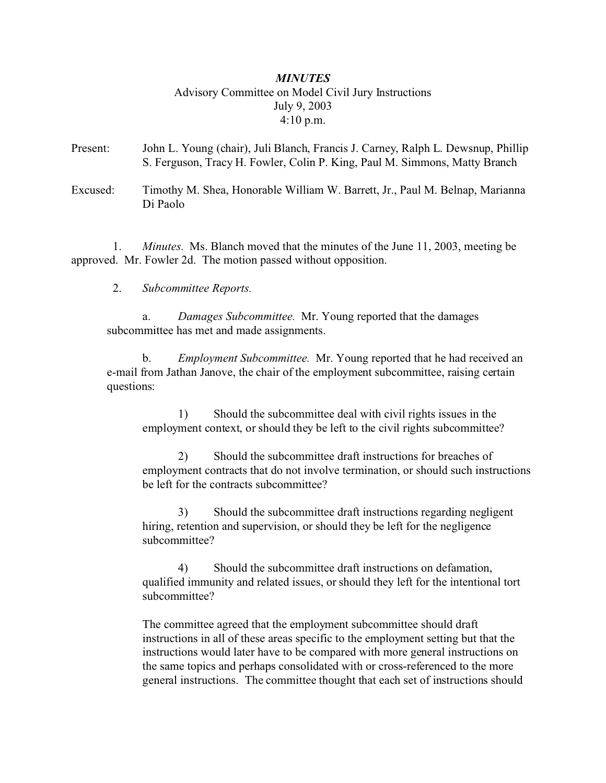# *MINUTES* Advisory Committee on Model Civil Jury Instructions July 9, 2003 4:10 p.m.

- Present: John L. Young (chair), Juli Blanch, Francis J. Carney, Ralph L. Dewsnup, Phillip S. Ferguson, Tracy H. Fowler, Colin P. King, Paul M. Simmons, Matty Branch
- Excused: Timothy M. Shea, Honorable William W. Barrett, Jr., Paul M. Belnap, Marianna Di Paolo

 1. *Minutes.* Ms. Blanch moved that the minutes of the June 11, 2003, meeting be approved. Mr. Fowler 2d. The motion passed without opposition.

2. *Subcommittee Reports.*

a. *Damages Subcommittee.* Mr. Young reported that the damages subcommittee has met and made assignments.

b. *Employment Subcommittee.* Mr. Young reported that he had received an e-mail from Jathan Janove, the chair of the employment subcommittee, raising certain questions:

1) Should the subcommittee deal with civil rights issues in the employment context, or should they be left to the civil rights subcommittee?

2) Should the subcommittee draft instructions for breaches of employment contracts that do not involve termination, or should such instructions be left for the contracts subcommittee?

3) Should the subcommittee draft instructions regarding negligent hiring, retention and supervision, or should they be left for the negligence subcommittee?

4) Should the subcommittee draft instructions on defamation, qualified immunity and related issues, or should they left for the intentional tort subcommittee?

The committee agreed that the employment subcommittee should draft instructions in all of these areas specific to the employment setting but that the instructions would later have to be compared with more general instructions on the same topics and perhaps consolidated with or cross-referenced to the more general instructions. The committee thought that each set of instructions should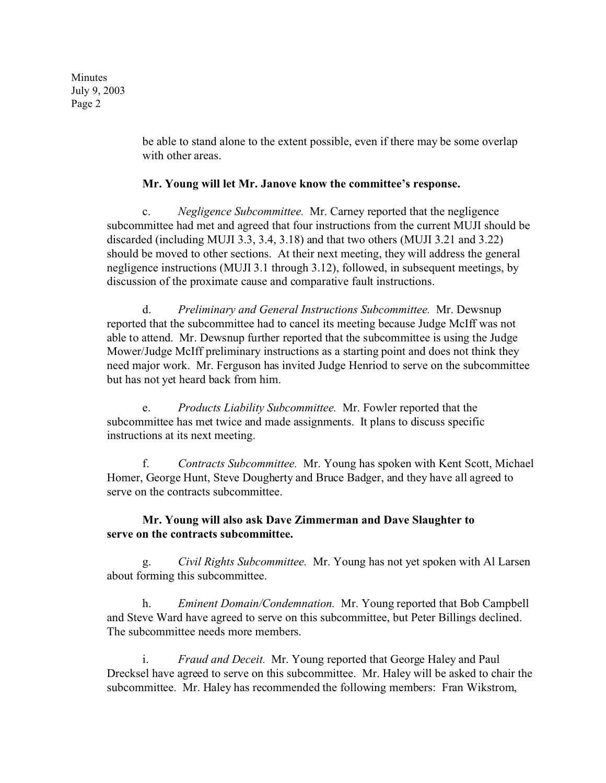Minutes July 9, 2003 Page 2

> be able to stand alone to the extent possible, even if there may be some overlap with other areas.

#### **Mr. Young will let Mr. Janove know the committee's response.**

c. *Negligence Subcommittee.* Mr. Carney reported that the negligence subcommittee had met and agreed that four instructions from the current MUJI should be discarded (including MUJI 3.3, 3.4, 3.18) and that two others (MUJI 3.21 and 3.22) should be moved to other sections. At their next meeting, they will address the general negligence instructions (MUJI 3.1 through 3.12), followed, in subsequent meetings, by discussion of the proximate cause and comparative fault instructions.

d. *Preliminary and General Instructions Subcommittee.* Mr. Dewsnup reported that the subcommittee had to cancel its meeting because Judge McIff was not able to attend. Mr. Dewsnup further reported that the subcommittee is using the Judge Mower/Judge McIff preliminary instructions as a starting point and does not think they need major work. Mr. Ferguson has invited Judge Henriod to serve on the subcommittee but has not yet heard back from him.

e. *Products Liability Subcommittee.* Mr. Fowler reported that the subcommittee has met twice and made assignments. It plans to discuss specific instructions at its next meeting.

f. *Contracts Subcommittee.* Mr. Young has spoken with Kent Scott, Michael Homer, George Hunt, Steve Dougherty and Bruce Badger, and they have all agreed to serve on the contracts subcommittee.

# **Mr. Young will also ask Dave Zimmerman and Dave Slaughter to serve on the contracts subcommittee.**

g. *Civil Rights Subcommittee.* Mr. Young has not yet spoken with Al Larsen about forming this subcommittee.

h. *Eminent Domain/Condemnation.* Mr. Young reported that Bob Campbell and Steve Ward have agreed to serve on this subcommittee, but Peter Billings declined. The subcommittee needs more members.

i. *Fraud and Deceit.* Mr. Young reported that George Haley and Paul Drecksel have agreed to serve on this subcommittee. Mr. Haley will be asked to chair the subcommittee. Mr. Haley has recommended the following members: Fran Wikstrom,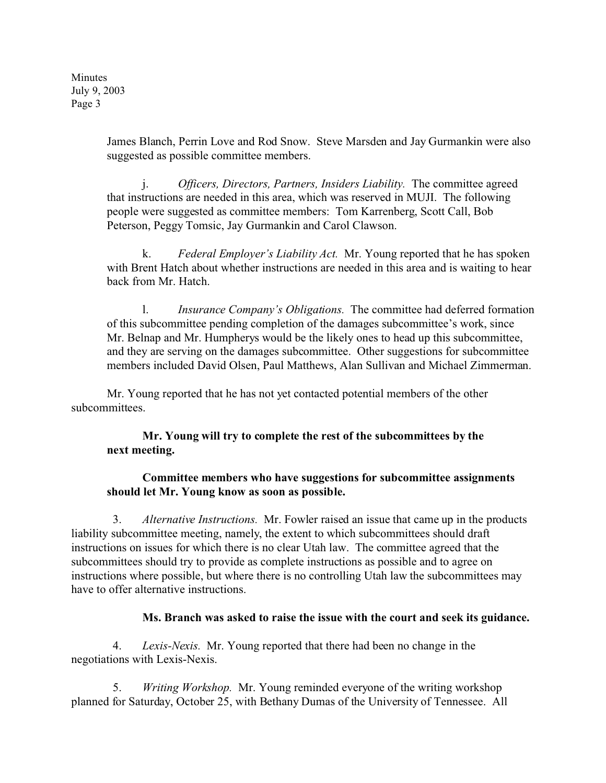Minutes July 9, 2003 Page 3

> James Blanch, Perrin Love and Rod Snow. Steve Marsden and Jay Gurmankin were also suggested as possible committee members.

j. *Officers, Directors, Partners, Insiders Liability.* The committee agreed that instructions are needed in this area, which was reserved in MUJI. The following people were suggested as committee members: Tom Karrenberg, Scott Call, Bob Peterson, Peggy Tomsic, Jay Gurmankin and Carol Clawson.

k. *Federal Employer's Liability Act.* Mr. Young reported that he has spoken with Brent Hatch about whether instructions are needed in this area and is waiting to hear back from Mr. Hatch.

l. *Insurance Company's Obligations.* The committee had deferred formation of this subcommittee pending completion of the damages subcommittee's work, since Mr. Belnap and Mr. Humpherys would be the likely ones to head up this subcommittee, and they are serving on the damages subcommittee. Other suggestions for subcommittee members included David Olsen, Paul Matthews, Alan Sullivan and Michael Zimmerman.

Mr. Young reported that he has not yet contacted potential members of the other subcommittees.

# **Mr. Young will try to complete the rest of the subcommittees by the next meeting.**

#### **Committee members who have suggestions for subcommittee assignments should let Mr. Young know as soon as possible.**

 3. *Alternative Instructions.* Mr. Fowler raised an issue that came up in the products liability subcommittee meeting, namely, the extent to which subcommittees should draft instructions on issues for which there is no clear Utah law. The committee agreed that the subcommittees should try to provide as complete instructions as possible and to agree on instructions where possible, but where there is no controlling Utah law the subcommittees may have to offer alternative instructions.

# **Ms. Branch was asked to raise the issue with the court and seek its guidance.**

 4. *Lexis-Nexis.* Mr. Young reported that there had been no change in the negotiations with Lexis-Nexis.

 5. *Writing Workshop.* Mr. Young reminded everyone of the writing workshop planned for Saturday, October 25, with Bethany Dumas of the University of Tennessee. All